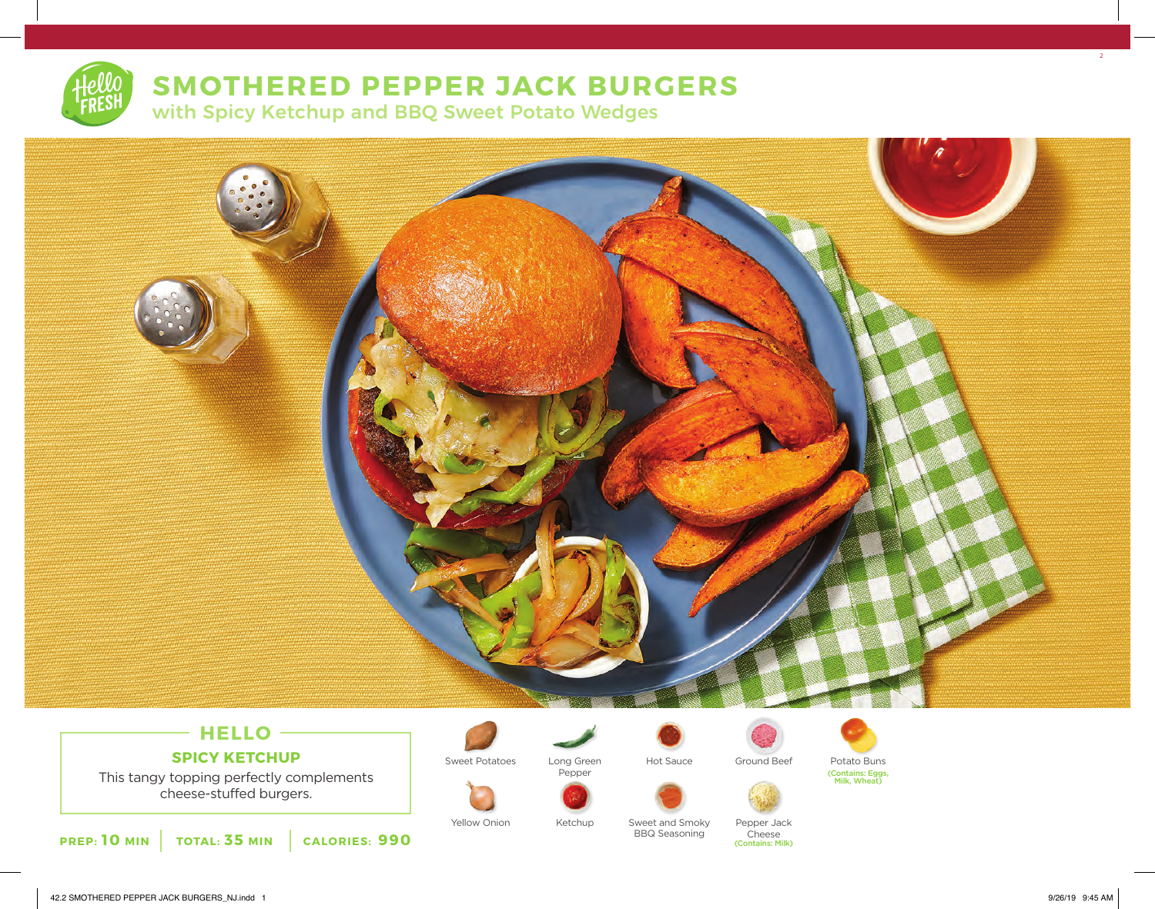# **SMOTHERED PEPPER JACK BURGERS**

with Spicy Ketchup and BBQ Sweet Potato Wedges



# **HELLO**

**SPICY KETCHUP**

This tangy topping perfectly complements cheese-stuffed burgers.

**PREP: 10 MIN TOTAL: 35 MIN CALORIES: 990**

Pepper

Ketchup







Yellow Onion Metchup Sweet and Smoky Pepper Jack BBQ Seasoning

**Cheese** (Contains: Milk) 2